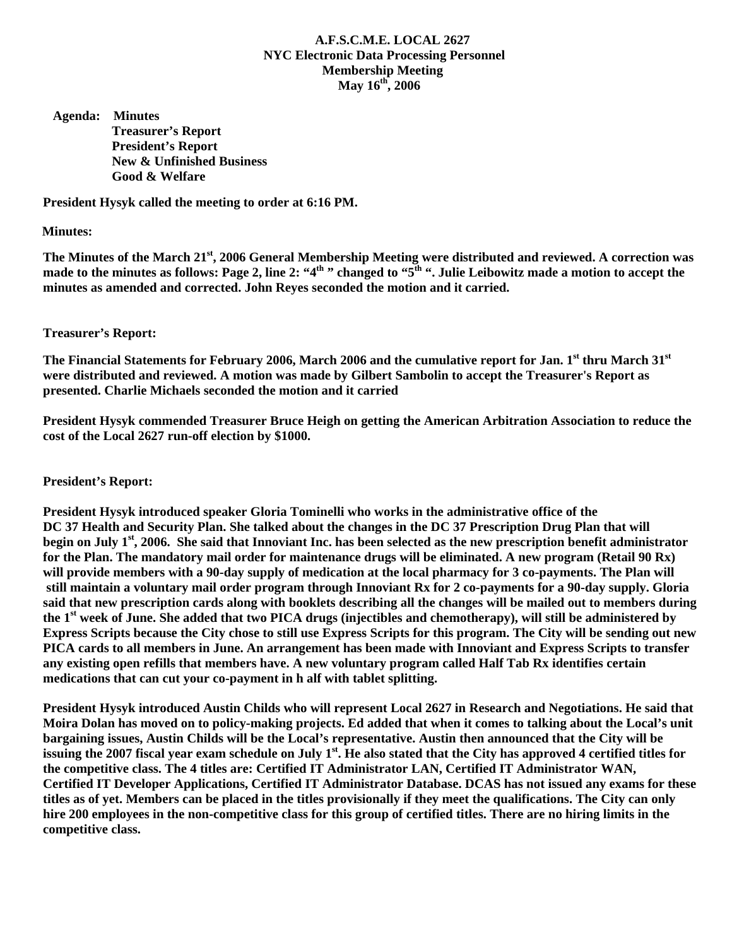# **A.F.S.C.M.E. LOCAL 2627 NYC Electronic Data Processing Personnel Membership Meeting May 16th, 2006**

 **Agenda: Minutes Treasurer's Report President's Report New & Unfinished Business Good & Welfare** 

**President Hysyk called the meeting to order at 6:16 PM.** 

### **Minutes:**

The Minutes of the March 21<sup>st</sup>, 2006 General Membership Meeting were distributed and reviewed. A correction was made to the minutes as follows: Page 2, line 2: "4<sup>th</sup>" changed to "5<sup>th</sup>". Julie Leibowitz made a motion to accept the **minutes as amended and corrected. John Reyes seconded the motion and it carried.** 

## **Treasurer's Report:**

The Financial Statements for February 2006, March 2006 and the cumulative report for Jan. 1<sup>st</sup> thru March 31<sup>st</sup> **were distributed and reviewed. A motion was made by Gilbert Sambolin to accept the Treasurer's Report as presented. Charlie Michaels seconded the motion and it carried** 

**President Hysyk commended Treasurer Bruce Heigh on getting the American Arbitration Association to reduce the cost of the Local 2627 run-off election by \$1000.** 

**President's Report:** 

**President Hysyk introduced speaker Gloria Tominelli who works in the administrative office of the DC 37 Health and Security Plan. She talked about the changes in the DC 37 Prescription Drug Plan that will begin on July 1st, 2006. She said that Innoviant Inc. has been selected as the new prescription benefit administrator for the Plan. The mandatory mail order for maintenance drugs will be eliminated. A new program (Retail 90 Rx) will provide members with a 90-day supply of medication at the local pharmacy for 3 co-payments. The Plan will still maintain a voluntary mail order program through Innoviant Rx for 2 co-payments for a 90-day supply. Gloria said that new prescription cards along with booklets describing all the changes will be mailed out to members during the 1st week of June. She added that two PICA drugs (injectibles and chemotherapy), will still be administered by Express Scripts because the City chose to still use Express Scripts for this program. The City will be sending out new PICA cards to all members in June. An arrangement has been made with Innoviant and Express Scripts to transfer any existing open refills that members have. A new voluntary program called Half Tab Rx identifies certain medications that can cut your co-payment in h alf with tablet splitting.** 

**President Hysyk introduced Austin Childs who will represent Local 2627 in Research and Negotiations. He said that Moira Dolan has moved on to policy-making projects. Ed added that when it comes to talking about the Local's unit bargaining issues, Austin Childs will be the Local's representative. Austin then announced that the City will be issuing the 2007 fiscal year exam schedule on July 1st. He also stated that the City has approved 4 certified titles for the competitive class. The 4 titles are: Certified IT Administrator LAN, Certified IT Administrator WAN, Certified IT Developer Applications, Certified IT Administrator Database. DCAS has not issued any exams for these titles as of yet. Members can be placed in the titles provisionally if they meet the qualifications. The City can only hire 200 employees in the non-competitive class for this group of certified titles. There are no hiring limits in the competitive class.**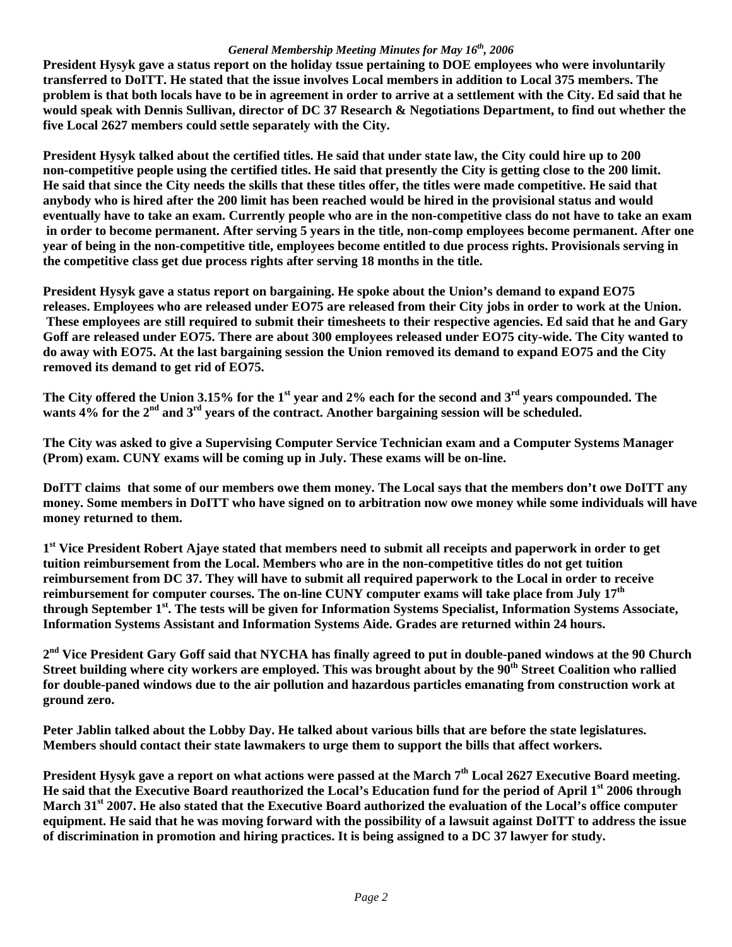## *General Membership Meeting Minutes for May 16th, 2006*

**President Hysyk gave a status report on the holiday tssue pertaining to DOE employees who were involuntarily transferred to DoITT. He stated that the issue involves Local members in addition to Local 375 members. The problem is that both locals have to be in agreement in order to arrive at a settlement with the City. Ed said that he would speak with Dennis Sullivan, director of DC 37 Research & Negotiations Department, to find out whether the five Local 2627 members could settle separately with the City.** 

**President Hysyk talked about the certified titles. He said that under state law, the City could hire up to 200 non-competitive people using the certified titles. He said that presently the City is getting close to the 200 limit. He said that since the City needs the skills that these titles offer, the titles were made competitive. He said that anybody who is hired after the 200 limit has been reached would be hired in the provisional status and would eventually have to take an exam. Currently people who are in the non-competitive class do not have to take an exam in order to become permanent. After serving 5 years in the title, non-comp employees become permanent. After one year of being in the non-competitive title, employees become entitled to due process rights. Provisionals serving in the competitive class get due process rights after serving 18 months in the title.** 

**President Hysyk gave a status report on bargaining. He spoke about the Union's demand to expand EO75 releases. Employees who are released under EO75 are released from their City jobs in order to work at the Union. These employees are still required to submit their timesheets to their respective agencies. Ed said that he and Gary Goff are released under EO75. There are about 300 employees released under EO75 city-wide. The City wanted to do away with EO75. At the last bargaining session the Union removed its demand to expand EO75 and the City removed its demand to get rid of EO75.** 

**The City offered the Union 3.15% for the 1st year and 2% each for the second and 3rd years compounded. The wants 4% for the 2nd and 3rd years of the contract. Another bargaining session will be scheduled.** 

**The City was asked to give a Supervising Computer Service Technician exam and a Computer Systems Manager (Prom) exam. CUNY exams will be coming up in July. These exams will be on-line.** 

**DoITT claims that some of our members owe them money. The Local says that the members don't owe DoITT any money. Some members in DoITT who have signed on to arbitration now owe money while some individuals will have money returned to them.** 

**1st Vice President Robert Ajaye stated that members need to submit all receipts and paperwork in order to get tuition reimbursement from the Local. Members who are in the non-competitive titles do not get tuition reimbursement from DC 37. They will have to submit all required paperwork to the Local in order to receive reimbursement for computer courses. The on-line CUNY computer exams will take place from July 17th through September 1st. The tests will be given for Information Systems Specialist, Information Systems Associate, Information Systems Assistant and Information Systems Aide. Grades are returned within 24 hours.** 

**2nd Vice President Gary Goff said that NYCHA has finally agreed to put in double-paned windows at the 90 Church**  Street building where city workers are employed. This was brought about by the 90<sup>th</sup> Street Coalition who rallied **for double-paned windows due to the air pollution and hazardous particles emanating from construction work at ground zero.** 

**Peter Jablin talked about the Lobby Day. He talked about various bills that are before the state legislatures. Members should contact their state lawmakers to urge them to support the bills that affect workers.** 

**President Hysyk gave a report on what actions were passed at the March 7th Local 2627 Executive Board meeting. He said that the Executive Board reauthorized the Local's Education fund for the period of April 1st 2006 through March 31st 2007. He also stated that the Executive Board authorized the evaluation of the Local's office computer equipment. He said that he was moving forward with the possibility of a lawsuit against DoITT to address the issue of discrimination in promotion and hiring practices. It is being assigned to a DC 37 lawyer for study.**